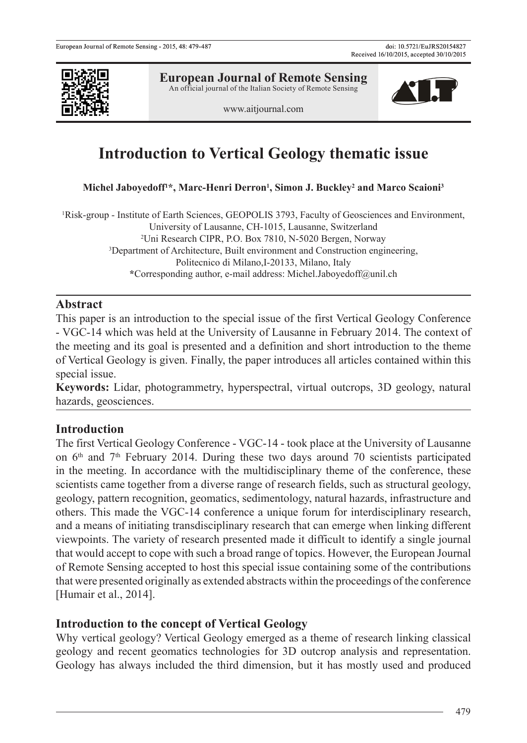

**European Journal of Remote Sensing** An official journal of the Italian Society of Remote Sensing



# **Introduction to Vertical Geology thematic issue**

Michel Jaboyedoff<sup>1\*</sup>, Marc-Henri Derron<sup>1</sup>, Simon J. Buckley<sup>2</sup> and Marco Scaioni<sup>3</sup>

1 Risk-group - Institute of Earth Sciences, GEOPOLIS 3793, Faculty of Geosciences and Environment, University of Lausanne, CH-1015, Lausanne, Switzerland 2 Uni Research CIPR, P.O. Box 7810, N-5020 Bergen, Norway 3 Department of Architecture, Built environment and Construction engineering, Politecnico di Milano,I-20133, Milano, Italy **\***Corresponding author, e-mail address: Michel.Jaboyedoff@unil.ch

#### **Abstract**

This paper is an introduction to the special issue of the first Vertical Geology Conference - VGC-14 which was held at the University of Lausanne in February 2014. The context of the meeting and its goal is presented and a definition and short introduction to the theme of Vertical Geology is given. Finally, the paper introduces all articles contained within this special issue.

**Keywords:** Lidar, photogrammetry, hyperspectral, virtual outcrops, 3D geology, natural hazards, geosciences.

# **Introduction**

The first Vertical Geology Conference - VGC-14 - took place at the University of Lausanne on  $6<sup>th</sup>$  and  $7<sup>th</sup>$  February 2014. During these two days around 70 scientists participated in the meeting. In accordance with the multidisciplinary theme of the conference, these scientists came together from a diverse range of research fields, such as structural geology, geology, pattern recognition, geomatics, sedimentology, natural hazards, infrastructure and others. This made the VGC-14 conference a unique forum for interdisciplinary research, and a means of initiating transdisciplinary research that can emerge when linking different viewpoints. The variety of research presented made it difficult to identify a single journal that would accept to cope with such a broad range of topics. However, the European Journal of Remote Sensing accepted to host this special issue containing some of the contributions that were presented originally as extended abstracts within the proceedings of the conference [Humair et al., 2014].

### **Introduction to the concept of Vertical Geology**

Why vertical geology? Vertical Geology emerged as a theme of research linking classical geology and recent geomatics technologies for 3D outcrop analysis and representation. Geology has always included the third dimension, but it has mostly used and produced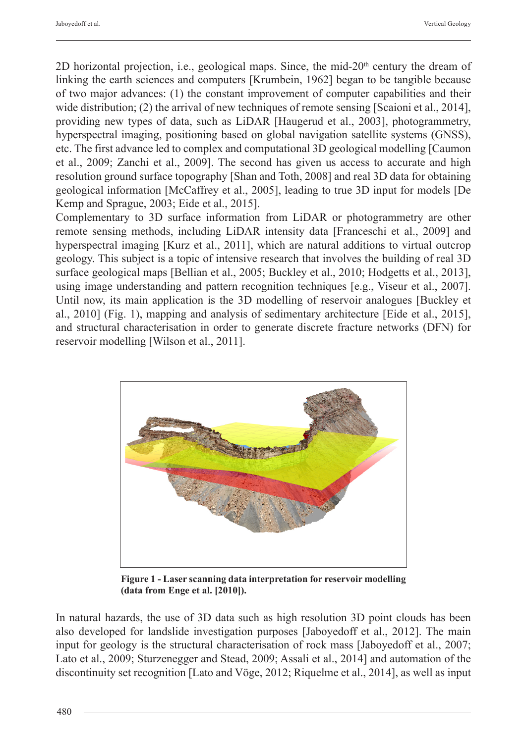2D horizontal projection, i.e., geological maps. Since, the mid- $20<sup>th</sup>$  century the dream of linking the earth sciences and computers [Krumbein, 1962] began to be tangible because of two major advances: (1) the constant improvement of computer capabilities and their wide distribution; (2) the arrival of new techniques of remote sensing [Scaioni et al., 2014], providing new types of data, such as LiDAR [Haugerud et al., 2003], photogrammetry, hyperspectral imaging, positioning based on global navigation satellite systems (GNSS), etc. The first advance led to complex and computational 3D geological modelling [Caumon et al., 2009; Zanchi et al., 2009]. The second has given us access to accurate and high resolution ground surface topography [Shan and Toth, 2008] and real 3D data for obtaining geological information [McCaffrey et al., 2005], leading to true 3D input for models [De Kemp and Sprague, 2003; Eide et al., 2015].

Complementary to 3D surface information from LiDAR or photogrammetry are other remote sensing methods, including LiDAR intensity data [Franceschi et al., 2009] and hyperspectral imaging [Kurz et al., 2011], which are natural additions to virtual outcrop geology. This subject is a topic of intensive research that involves the building of real 3D surface geological maps [Bellian et al., 2005; Buckley et al., 2010; Hodgetts et al., 2013], using image understanding and pattern recognition techniques [e.g., Viseur et al., 2007]. Until now, its main application is the 3D modelling of reservoir analogues [Buckley et al., 2010] (Fig. 1), mapping and analysis of sedimentary architecture [Eide et al., 2015], and structural characterisation in order to generate discrete fracture networks (DFN) for reservoir modelling [Wilson et al., 2011].



**Figure 1 - Laser scanning data interpretation for reservoir modelling (data from Enge et al. [2010]).**

In natural hazards, the use of 3D data such as high resolution 3D point clouds has been also developed for landslide investigation purposes [Jaboyedoff et al., 2012]. The main input for geology is the structural characterisation of rock mass [Jaboyedoff et al., 2007; Lato et al., 2009; Sturzenegger and Stead, 2009; Assali et al., 2014] and automation of the discontinuity set recognition [Lato and Vöge, 2012; Riquelme et al., 2014], as well as input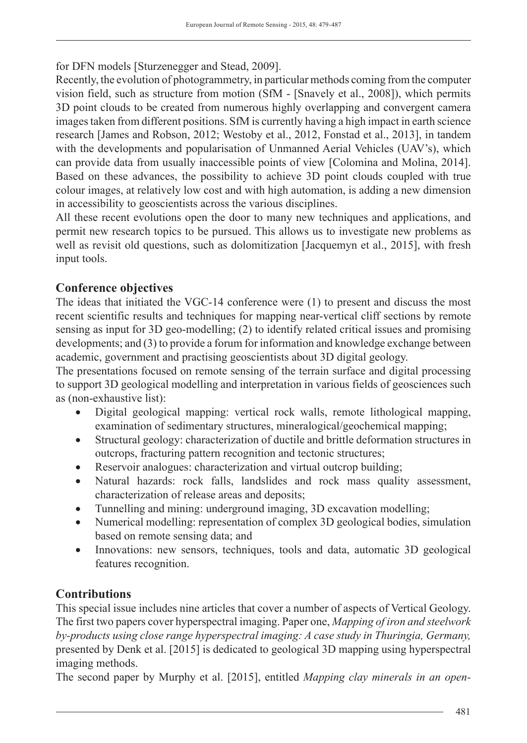for DFN models [Sturzenegger and Stead, 2009].

Recently, the evolution of photogrammetry, in particular methods coming from the computer vision field, such as structure from motion (SfM - [Snavely et al., 2008]), which permits 3D point clouds to be created from numerous highly overlapping and convergent camera images taken from different positions. SfM is currently having a high impact in earth science research [James and Robson, 2012; Westoby et al., 2012, Fonstad et al., 2013], in tandem with the developments and popularisation of Unmanned Aerial Vehicles (UAV's), which can provide data from usually inaccessible points of view [Colomina and Molina, 2014]. Based on these advances, the possibility to achieve 3D point clouds coupled with true colour images, at relatively low cost and with high automation, is adding a new dimension in accessibility to geoscientists across the various disciplines.

All these recent evolutions open the door to many new techniques and applications, and permit new research topics to be pursued. This allows us to investigate new problems as well as revisit old questions, such as dolomitization [Jacquemyn et al., 2015], with fresh input tools.

# **Conference objectives**

The ideas that initiated the VGC-14 conference were (1) to present and discuss the most recent scientific results and techniques for mapping near-vertical cliff sections by remote sensing as input for 3D geo-modelling; (2) to identify related critical issues and promising developments; and (3) to provide a forum for information and knowledge exchange between academic, government and practising geoscientists about 3D digital geology.

The presentations focused on remote sensing of the terrain surface and digital processing to support 3D geological modelling and interpretation in various fields of geosciences such as (non-exhaustive list):

- Digital geological mapping: vertical rock walls, remote lithological mapping, examination of sedimentary structures, mineralogical/geochemical mapping;
- Structural geology: characterization of ductile and brittle deformation structures in outcrops, fracturing pattern recognition and tectonic structures;
- Reservoir analogues: characterization and virtual outcrop building;
- Natural hazards: rock falls, landslides and rock mass quality assessment, characterization of release areas and deposits;
- Tunnelling and mining: underground imaging, 3D excavation modelling;
- Numerical modelling: representation of complex 3D geological bodies, simulation based on remote sensing data; and
- Innovations: new sensors, techniques, tools and data, automatic 3D geological features recognition.

# **Contributions**

This special issue includes nine articles that cover a number of aspects of Vertical Geology. The first two papers cover hyperspectral imaging. Paper one, *Mapping of iron and steelwork by-products using close range hyperspectral imaging: A case study in Thuringia, Germany,* presented by Denk et al. [2015] is dedicated to geological 3D mapping using hyperspectral imaging methods.

The second paper by Murphy et al. [2015], entitled *Mapping clay minerals in an open-*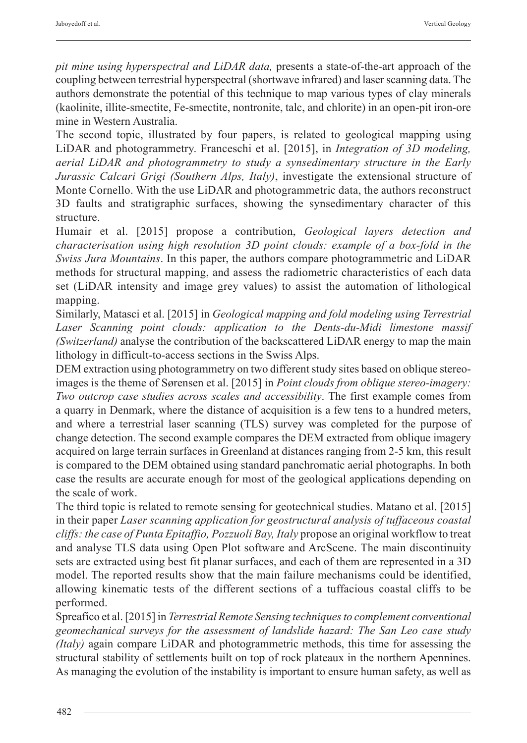*pit mine using hyperspectral and LiDAR data,* presents a state-of-the-art approach of the coupling between terrestrial hyperspectral (shortwave infrared) and laser scanning data. The authors demonstrate the potential of this technique to map various types of clay minerals (kaolinite, illite-smectite, Fe-smectite, nontronite, talc, and chlorite) in an open-pit iron-ore mine in Western Australia.

The second topic, illustrated by four papers, is related to geological mapping using LiDAR and photogrammetry. Franceschi et al. [2015], in *Integration of 3D modeling, aerial LiDAR and photogrammetry to study a synsedimentary structure in the Early Jurassic Calcari Grigi (Southern Alps, Italy)*, investigate the extensional structure of Monte Cornello. With the use LiDAR and photogrammetric data, the authors reconstruct 3D faults and stratigraphic surfaces, showing the synsedimentary character of this structure.

Humair et al. [2015] propose a contribution, *Geological layers detection and characterisation using high resolution 3D point clouds: example of a box-fold in the Swiss Jura Mountains*. In this paper, the authors compare photogrammetric and LiDAR methods for structural mapping, and assess the radiometric characteristics of each data set (LiDAR intensity and image grey values) to assist the automation of lithological mapping.

Similarly, Matasci et al. [2015] in *Geological mapping and fold modeling using Terrestrial Laser Scanning point clouds: application to the Dents-du-Midi limestone massif (Switzerland)* analyse the contribution of the backscattered LiDAR energy to map the main lithology in difficult-to-access sections in the Swiss Alps.

DEM extraction using photogrammetry on two different study sites based on oblique stereoimages is the theme of Sørensen et al. [2015] in *Point clouds from oblique stereo-imagery: Two outcrop case studies across scales and accessibility*. The first example comes from a quarry in Denmark, where the distance of acquisition is a few tens to a hundred meters, and where a terrestrial laser scanning (TLS) survey was completed for the purpose of change detection. The second example compares the DEM extracted from oblique imagery acquired on large terrain surfaces in Greenland at distances ranging from 2-5 km, this result is compared to the DEM obtained using standard panchromatic aerial photographs. In both case the results are accurate enough for most of the geological applications depending on the scale of work.

The third topic is related to remote sensing for geotechnical studies. Matano et al. [2015] in their paper *Laser scanning application for geostructural analysis of tuffaceous coastal cliffs: the case of Punta Epitaffio, Pozzuoli Bay, Italy* propose an original workflow to treat and analyse TLS data using Open Plot software and ArcScene. The main discontinuity sets are extracted using best fit planar surfaces, and each of them are represented in a 3D model. The reported results show that the main failure mechanisms could be identified, allowing kinematic tests of the different sections of a tuffacious coastal cliffs to be performed.

Spreafico et al. [2015] in *Terrestrial Remote Sensing techniques to complement conventional geomechanical surveys for the assessment of landslide hazard: The San Leo case study (Italy)* again compare LiDAR and photogrammetric methods, this time for assessing the structural stability of settlements built on top of rock plateaux in the northern Apennines. As managing the evolution of the instability is important to ensure human safety, as well as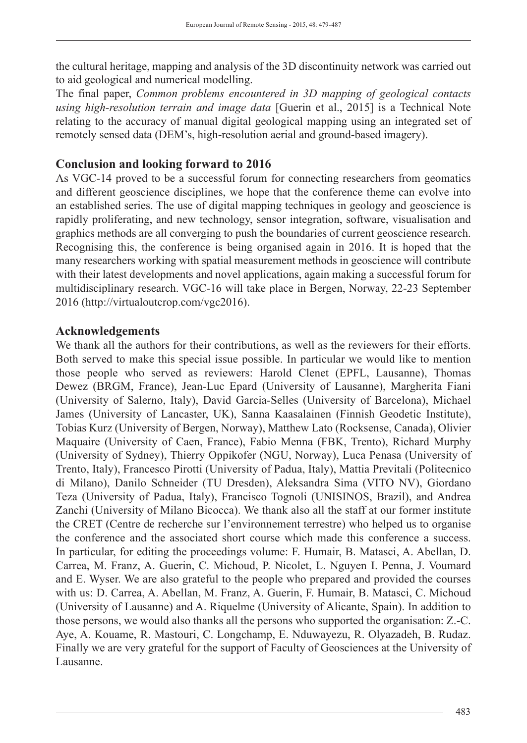the cultural heritage, mapping and analysis of the 3D discontinuity network was carried out to aid geological and numerical modelling.

The final paper, *Common problems encountered in 3D mapping of geological contacts using high-resolution terrain and image data* [Guerin et al., 2015] is a Technical Note relating to the accuracy of manual digital geological mapping using an integrated set of remotely sensed data (DEM's, high-resolution aerial and ground-based imagery).

## **Conclusion and looking forward to 2016**

As VGC-14 proved to be a successful forum for connecting researchers from geomatics and different geoscience disciplines, we hope that the conference theme can evolve into an established series. The use of digital mapping techniques in geology and geoscience is rapidly proliferating, and new technology, sensor integration, software, visualisation and graphics methods are all converging to push the boundaries of current geoscience research. Recognising this, the conference is being organised again in 2016. It is hoped that the many researchers working with spatial measurement methods in geoscience will contribute with their latest developments and novel applications, again making a successful forum for multidisciplinary research. VGC-16 will take place in Bergen, Norway, 22-23 September 2016 (http://virtualoutcrop.com/vgc2016).

# **Acknowledgements**

We thank all the authors for their contributions, as well as the reviewers for their efforts. Both served to make this special issue possible. In particular we would like to mention those people who served as reviewers: Harold Clenet (EPFL, Lausanne), Thomas Dewez (BRGM, France), Jean-Luc Epard (University of Lausanne), Margherita Fiani (University of Salerno, Italy), David Garcia-Selles (University of Barcelona), Michael James (University of Lancaster, UK), Sanna Kaasalainen (Finnish Geodetic Institute), Tobias Kurz (University of Bergen, Norway), Matthew Lato (Rocksense, Canada), Olivier Maquaire (University of Caen, France), Fabio Menna (FBK, Trento), Richard Murphy (University of Sydney), Thierry Oppikofer (NGU, Norway), Luca Penasa (University of Trento, Italy), Francesco Pirotti (University of Padua, Italy), Mattia Previtali (Politecnico di Milano), Danilo Schneider (TU Dresden), Aleksandra Sima (VITO NV), Giordano Teza (University of Padua, Italy), Francisco Tognoli (UNISINOS, Brazil), and Andrea Zanchi (University of Milano Bicocca). We thank also all the staff at our former institute the CRET (Centre de recherche sur l'environnement terrestre) who helped us to organise the conference and the associated short course which made this conference a success. In particular, for editing the proceedings volume: F. Humair, B. Matasci, A. Abellan, D. Carrea, M. Franz, A. Guerin, C. Michoud, P. Nicolet, L. Nguyen I. Penna, J. Voumard and E. Wyser. We are also grateful to the people who prepared and provided the courses with us: D. Carrea, A. Abellan, M. Franz, A. Guerin, F. Humair, B. Matasci, C. Michoud (University of Lausanne) and A. Riquelme (University of Alicante, Spain). In addition to those persons, we would also thanks all the persons who supported the organisation: Z.-C. Aye, A. Kouame, R. Mastouri, C. Longchamp, E. Nduwayezu, R. Olyazadeh, B. Rudaz. Finally we are very grateful for the support of Faculty of Geosciences at the University of Lausanne.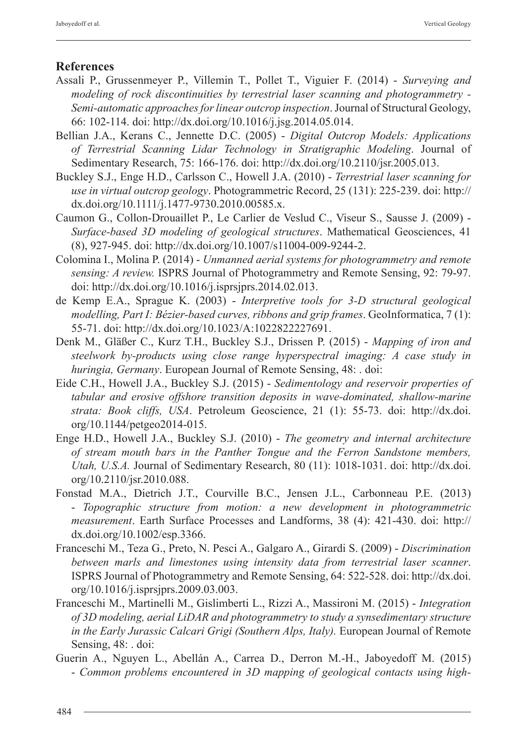# **References**

- Assali P., Grussenmeyer P., Villemin T., Pollet T., Viguier F. (2014) *Surveying and modeling of rock discontinuities by terrestrial laser scanning and photogrammetry - Semi-automatic approaches for linear outcrop inspection*. Journal of Structural Geology, 66: 102-114. doi: http://dx.doi.org/10.1016/j.jsg.2014.05.014.
- Bellian J.A., Kerans C., Jennette D.C. (2005) - *Digital Outcrop Models: Applications of Terrestrial Scanning Lidar Technology in Stratigraphic Modeling*. Journal of Sedimentary Research, 75: 166-176. doi: http://dx.doi.org/10.2110/jsr.2005.013.
- Buckley S.J., Enge H.D., Carlsson C., Howell J.A. (2010) *Terrestrial laser scanning for use in virtual outcrop geology*. Photogrammetric Record, 25 (131): 225-239. doi: http:// dx.doi.org/10.1111/j.1477-9730.2010.00585.x.
- Caumon G., Collon-Drouaillet P., Le Carlier de Veslud C., Viseur S., Sausse J. (2009) *Surface-based 3D modeling of geological structures*. Mathematical Geosciences, 41 (8), 927-945. doi: http://dx.doi.org/10.1007/s11004-009-9244-2.
- Colomina I., Molina P. (2014) *Unmanned aerial systems for photogrammetry and remote sensing: A review.* ISPRS Journal of Photogrammetry and Remote Sensing, 92: 79-97. doi: http://dx.doi.org/10.1016/j.isprsjprs.2014.02.013.
- de Kemp E.A., Sprague K. (2003) *Interpretive tools for 3-D structural geological modelling, Part I: Bézier-based curves, ribbons and grip frames*. GeoInformatica, 7 (1): 55-71. doi: http://dx.doi.org/10.1023/A:1022822227691.
- Denk M., Gläßer C., Kurz T.H., Buckley S.J., Drissen P. (2015) *Mapping of iron and steelwork by-products using close range hyperspectral imaging: A case study in huringia, Germany*. European Journal of Remote Sensing, 48: . doi:
- Eide C.H., Howell J.A., Buckley S.J. (2015) *Sedimentology and reservoir properties of tabular and erosive offshore transition deposits in wave-dominated, shallow-marine strata: Book cliffs, USA*. Petroleum Geoscience, 21 (1): 55-73. doi: http://dx.doi. org/10.1144/petgeo2014-015.
- Enge H.D., Howell J.A., Buckley S.J. (2010) *The geometry and internal architecture of stream mouth bars in the Panther Tongue and the Ferron Sandstone members, Utah, U.S.A.* Journal of Sedimentary Research, 80 (11): 1018-1031. doi: http://dx.doi. org/10.2110/jsr.2010.088.
- Fonstad M.A., Dietrich J.T., Courville B.C., Jensen J.L., Carbonneau P.E. (2013) - *Topographic structure from motion: a new development in photogrammetric measurement*. Earth Surface Processes and Landforms, 38 (4): 421-430. doi: http:// dx.doi.org/10.1002/esp.3366.
- Franceschi M., Teza G., Preto, N. Pesci A., Galgaro A., Girardi S. (2009) *Discrimination between marls and limestones using intensity data from terrestrial laser scanner*. ISPRS Journal of Photogrammetry and Remote Sensing, 64: 522-528. doi: http://dx.doi. org/10.1016/j.isprsjprs.2009.03.003.
- Franceschi M., Martinelli M., Gislimberti L., Rizzi A., Massironi M. (2015) *Integration of 3D modeling, aerial LiDAR and photogrammetry to study a synsedimentary structure in the Early Jurassic Calcari Grigi (Southern Alps, Italy).* European Journal of Remote Sensing, 48: . doi:
- Guerin A., Nguyen L., Abellán A., Carrea D., Derron M.-H., Jaboyedoff M. (2015) - *Common problems encountered in 3D mapping of geological contacts using high-*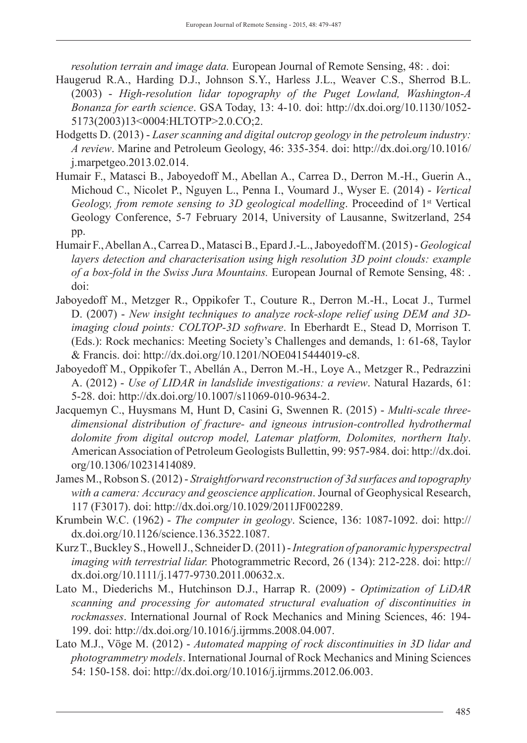*resolution terrain and image data.* European Journal of Remote Sensing, 48: . doi:

- Haugerud R.A., Harding D.J., Johnson S.Y., Harless J.L., Weaver C.S., Sherrod B.L. (2003) - *High-resolution lidar topography of the Puget Lowland, Washington-A Bonanza for earth science*. GSA Today, 13: 4-10. doi: http://dx.doi.org/10.1130/1052- 5173(2003)13<0004:HLTOTP>2.0.CO;2.
- Hodgetts D. (2013) *Laser scanning and digital outcrop geology in the petroleum industry: A review*. Marine and Petroleum Geology, 46: 335-354. doi: http://dx.doi.org/10.1016/ j.marpetgeo.2013.02.014.
- Humair F., Matasci B., Jaboyedoff M., Abellan A., Carrea D., Derron M.-H., Guerin A., Michoud C., Nicolet P., Nguyen L., Penna I., Voumard J., Wyser E. (2014) - *Vertical Geology, from remote sensing to 3D geological modelling*. Proceedind of 1st Vertical Geology Conference, 5-7 February 2014, University of Lausanne, Switzerland, 254 pp.
- Humair F., Abellan A., Carrea D., Matasci B., Epard J.-L., Jaboyedoff M. (2015) *Geological layers detection and characterisation using high resolution 3D point clouds: example of a box-fold in the Swiss Jura Mountains.* European Journal of Remote Sensing, 48: . doi:
- Jaboyedoff M., Metzger R., Oppikofer T., Couture R., Derron M.-H., Locat J., Turmel D. (2007) - *New insight techniques to analyze rock-slope relief using DEM and 3Dimaging cloud points: COLTOP-3D software*. In Eberhardt E., Stead D, Morrison T. (Eds.): Rock mechanics: Meeting Society's Challenges and demands, 1: 61-68, Taylor & Francis. doi: http://dx.doi.org/10.1201/NOE0415444019-c8.
- Jaboyedoff M., Oppikofer T., Abellán A., Derron M.-H., Loye A., Metzger R., Pedrazzini A. (2012) - *Use of LIDAR in landslide investigations: a review*. Natural Hazards, 61: 5-28. doi: http://dx.doi.org/10.1007/s11069-010-9634-2.
- Jacquemyn C., Huysmans M, Hunt D, Casini G, Swennen R. (2015) *Multi-scale threedimensional distribution of fracture- and igneous intrusion-controlled hydrothermal dolomite from digital outcrop model, Latemar platform, Dolomites, northern Italy*. American Association of Petroleum Geologists Bullettin, 99: 957-984. doi: http://dx.doi. org/10.1306/10231414089.
- James M., Robson S. (2012) *Straightforward reconstruction of 3d surfaces and topography with a camera: Accuracy and geoscience application*. Journal of Geophysical Research, 117 (F3017). doi: http://dx.doi.org/10.1029/2011JF002289.
- Krumbein W.C. (1962) *The computer in geology*. Science, 136: 1087-1092. doi: http:// dx.doi.org/10.1126/science.136.3522.1087.
- Kurz T., Buckley S., Howell J., Schneider D. (2011) *Integration of panoramic hyperspectral imaging with terrestrial lidar.* Photogrammetric Record, 26 (134): 212-228. doi: http:// dx.doi.org/10.1111/j.1477-9730.2011.00632.x.
- Lato M., Diederichs M., Hutchinson D.J., Harrap R. (2009) *Optimization of LiDAR scanning and processing for automated structural evaluation of discontinuities in rockmasses*. International Journal of Rock Mechanics and Mining Sciences, 46: 194- 199. doi: http://dx.doi.org/10.1016/j.ijrmms.2008.04.007.
- Lato M.J., Vöge M. (2012) *Automated mapping of rock discontinuities in 3D lidar and photogrammetry models*. International Journal of Rock Mechanics and Mining Sciences 54: 150-158. doi: http://dx.doi.org/10.1016/j.ijrmms.2012.06.003.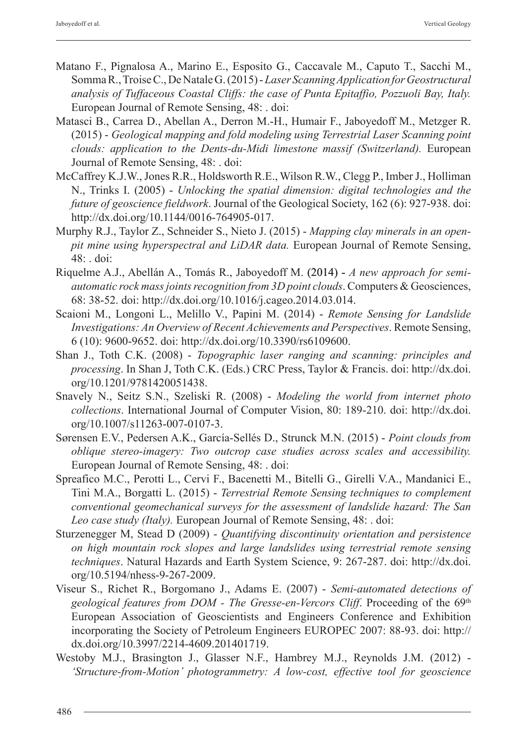- Matano F., Pignalosa A., Marino E., Esposito G., Caccavale M., Caputo T., Sacchi M., Somma R., Troise C., De Natale G. (2015) - *Laser Scanning Application for Geostructural analysis of Tuffaceous Coastal Cliffs: the case of Punta Epitaffio, Pozzuoli Bay, Italy.* European Journal of Remote Sensing, 48: . doi:
- Matasci B., Carrea D., Abellan A., Derron M.-H., Humair F., Jaboyedoff M., Metzger R. (2015) - *Geological mapping and fold modeling using Terrestrial Laser Scanning point clouds: application to the Dents-du-Midi limestone massif (Switzerland).* European Journal of Remote Sensing, 48: . doi:
- McCaffrey K.J.W., Jones R.R., Holdsworth R.E., Wilson R.W., Clegg P., Imber J., Holliman N., Trinks I. (2005) - *Unlocking the spatial dimension: digital technologies and the future of geoscience fieldwork*. Journal of the Geological Society, 162 (6): 927-938. doi: http://dx.doi.org/10.1144/0016-764905-017.
- Murphy R.J., Taylor Z., Schneider S., Nieto J. (2015) *Mapping clay minerals in an openpit mine using hyperspectral and LiDAR data.* European Journal of Remote Sensing, 48: . doi:
- Riquelme A.J., Abellán A., Tomás R., Jaboyedoff M. (2014) A new approach for semi*automatic rock mass joints recognition from 3D point clouds*. Computers & Geosciences, 68: 38-52. doi: http://dx.doi.org/10.1016/j.cageo.2014.03.014.
- Scaioni M., Longoni L., Melillo V., Papini M. (2014) *Remote Sensing for Landslide Investigations: An Overview of Recent Achievements and Perspectives*. Remote Sensing, 6 (10): 9600-9652. doi: http://dx.doi.org/10.3390/rs6109600.
- Shan J., Toth C.K. (2008) *Topographic laser ranging and scanning: principles and processing*. In Shan J, Toth C.K. (Eds.) CRC Press, Taylor & Francis. doi: http://dx.doi. org/10.1201/9781420051438.
- Snavely N., Seitz S.N., Szeliski R. (2008) *Modeling the world from internet photo collections*. International Journal of Computer Vision, 80: 189-210. doi: http://dx.doi. org/10.1007/s11263-007-0107-3.
- Sørensen E.V., Pedersen A.K., García-Sellés D., Strunck M.N. (2015) *Point clouds from oblique stereo-imagery: Two outcrop case studies across scales and accessibility.* European Journal of Remote Sensing, 48: . doi:
- Spreafico M.C., Perotti L., Cervi F., Bacenetti M., Bitelli G., Girelli V.A., Mandanici E., Tini M.A., Borgatti L. (2015) - *Terrestrial Remote Sensing techniques to complement conventional geomechanical surveys for the assessment of landslide hazard: The San Leo case study (Italy).* European Journal of Remote Sensing, 48: . doi:
- Sturzenegger M, Stead D (2009) *Quantifying discontinuity orientation and persistence on high mountain rock slopes and large landslides using terrestrial remote sensing techniques*. Natural Hazards and Earth System Science, 9: 267-287. doi: http://dx.doi. org/10.5194/nhess-9-267-2009.
- Viseur S., Richet R., Borgomano J., Adams E. (2007) *Semi-automated detections of*  geological features from DOM - The Gresse-en-Vercors Cliff. Proceeding of the 69<sup>th</sup> European Association of Geoscientists and Engineers Conference and Exhibition incorporating the Society of Petroleum Engineers EUROPEC 2007: 88-93. doi: http:// dx.doi.org/10.3997/2214-4609.201401719.
- Westoby M.J., Brasington J., Glasser N.F., Hambrey M.J., Reynolds J.M. (2012) *'Structure-from-Motion' photogrammetry: A low-cost, effective tool for geoscience*